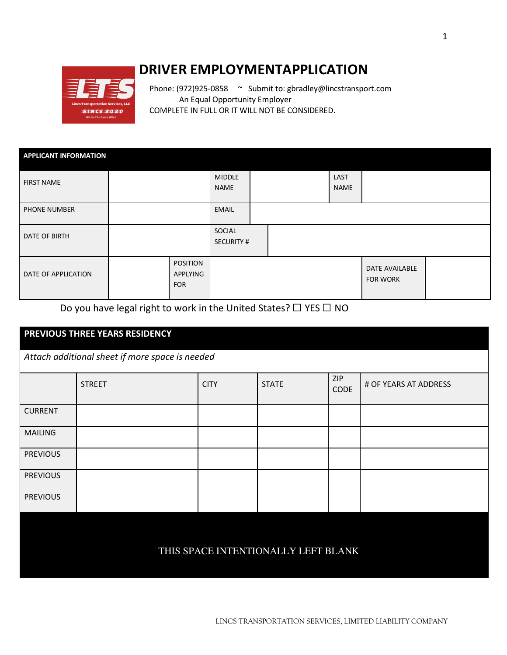

## **DRIVER EMPLOYMENTAPPLICATION**

Phone: (972)925-0858 ~ Submit to: gbradley@lincstransport.com An Equal Opportunity Employer COMPLETE IN FULL OR IT WILL NOT BE CONSIDERED.

| <b>APPLICANT INFORMATION</b> |                                           |                              |  |                     |                                   |  |
|------------------------------|-------------------------------------------|------------------------------|--|---------------------|-----------------------------------|--|
| <b>FIRST NAME</b>            |                                           | <b>MIDDLE</b><br><b>NAME</b> |  | LAST<br><b>NAME</b> |                                   |  |
| PHONE NUMBER                 |                                           | <b>EMAIL</b>                 |  |                     |                                   |  |
| DATE OF BIRTH                |                                           | SOCIAL<br><b>SECURITY #</b>  |  |                     |                                   |  |
| DATE OF APPLICATION          | <b>POSITION</b><br>APPLYING<br><b>FOR</b> |                              |  |                     | DATE AVAILABLE<br><b>FOR WORK</b> |  |

Do you have legal right to work in the United States?  $\Box$  YES  $\Box$  NO

## **PREVIOUS THREE YEARS RESIDENCY**

*Attach additional sheet if more space is needed* 

|                                     | <b>STREET</b> | <b>CITY</b> | <b>STATE</b> | ZIP<br><b>CODE</b> | # OF YEARS AT ADDRESS |
|-------------------------------------|---------------|-------------|--------------|--------------------|-----------------------|
| <b>CURRENT</b>                      |               |             |              |                    |                       |
| <b>MAILING</b>                      |               |             |              |                    |                       |
| <b>PREVIOUS</b>                     |               |             |              |                    |                       |
| <b>PREVIOUS</b>                     |               |             |              |                    |                       |
| <b>PREVIOUS</b>                     |               |             |              |                    |                       |
|                                     |               |             |              |                    |                       |
| THIS SPACE INTENTIONALLY LEFT BLANK |               |             |              |                    |                       |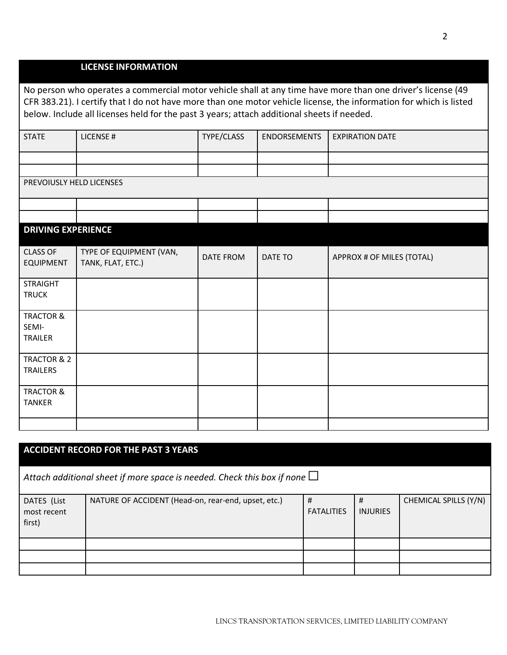|                                                                                                                                                                                                                                                                                                                                 | <b>LICENSE INFORMATION</b>                   |                  |                     |                           |  |  |  |
|---------------------------------------------------------------------------------------------------------------------------------------------------------------------------------------------------------------------------------------------------------------------------------------------------------------------------------|----------------------------------------------|------------------|---------------------|---------------------------|--|--|--|
| No person who operates a commercial motor vehicle shall at any time have more than one driver's license (49<br>CFR 383.21). I certify that I do not have more than one motor vehicle license, the information for which is listed<br>below. Include all licenses held for the past 3 years; attach additional sheets if needed. |                                              |                  |                     |                           |  |  |  |
| <b>STATE</b>                                                                                                                                                                                                                                                                                                                    | LICENSE #                                    | TYPE/CLASS       | <b>ENDORSEMENTS</b> | <b>EXPIRATION DATE</b>    |  |  |  |
| PREVOIUSLY HELD LICENSES                                                                                                                                                                                                                                                                                                        |                                              |                  |                     |                           |  |  |  |
| <b>DRIVING EXPERIENCE</b>                                                                                                                                                                                                                                                                                                       |                                              |                  |                     |                           |  |  |  |
| <b>CLASS OF</b><br><b>EQUIPMENT</b>                                                                                                                                                                                                                                                                                             | TYPE OF EQUIPMENT (VAN,<br>TANK, FLAT, ETC.) | <b>DATE FROM</b> | DATE TO             | APPROX # OF MILES (TOTAL) |  |  |  |
| <b>STRAIGHT</b><br><b>TRUCK</b>                                                                                                                                                                                                                                                                                                 |                                              |                  |                     |                           |  |  |  |
| <b>TRACTOR &amp;</b><br>SEMI-<br><b>TRAILER</b>                                                                                                                                                                                                                                                                                 |                                              |                  |                     |                           |  |  |  |
| TRACTOR & 2<br><b>TRAILERS</b>                                                                                                                                                                                                                                                                                                  |                                              |                  |                     |                           |  |  |  |
| <b>TRACTOR &amp;</b><br><b>TANKER</b>                                                                                                                                                                                                                                                                                           |                                              |                  |                     |                           |  |  |  |
|                                                                                                                                                                                                                                                                                                                                 |                                              |                  |                     |                           |  |  |  |

| <b>ACCIDENT RECORD FOR THE PAST 3 YEARS</b>                                    |                                                     |                        |                      |                       |  |  |
|--------------------------------------------------------------------------------|-----------------------------------------------------|------------------------|----------------------|-----------------------|--|--|
| Attach additional sheet if more space is needed. Check this box if none $\Box$ |                                                     |                        |                      |                       |  |  |
| DATES (List<br>most recent<br>first)                                           | NATURE OF ACCIDENT (Head-on, rear-end, upset, etc.) | #<br><b>FATALITIES</b> | #<br><b>INJURIES</b> | CHEMICAL SPILLS (Y/N) |  |  |
|                                                                                |                                                     |                        |                      |                       |  |  |
|                                                                                |                                                     |                        |                      |                       |  |  |
|                                                                                |                                                     |                        |                      |                       |  |  |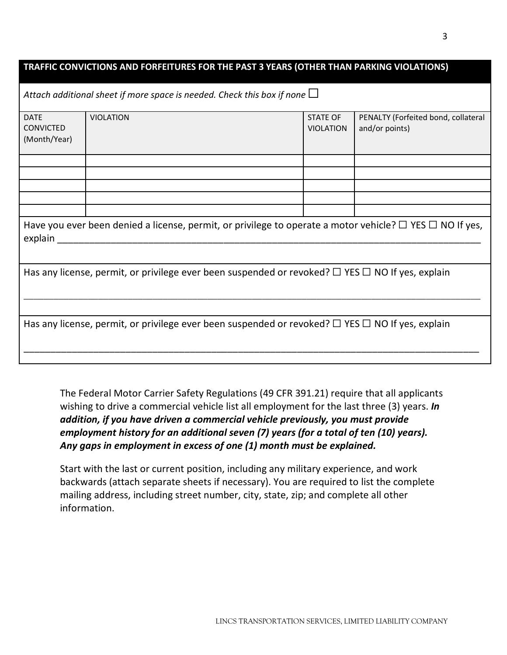| TRAFFIC CONVICTIONS AND FORFEITURES FOR THE PAST 3 YEARS (OTHER THAN PARKING VIOLATIONS)                                      |                                                                                |                                     |                                                       |  |  |  |
|-------------------------------------------------------------------------------------------------------------------------------|--------------------------------------------------------------------------------|-------------------------------------|-------------------------------------------------------|--|--|--|
|                                                                                                                               | Attach additional sheet if more space is needed. Check this box if none $\Box$ |                                     |                                                       |  |  |  |
| <b>DATE</b><br><b>CONVICTED</b><br>(Month/Year)                                                                               | <b>VIOLATION</b>                                                               | <b>STATE OF</b><br><b>VIOLATION</b> | PENALTY (Forfeited bond, collateral<br>and/or points) |  |  |  |
|                                                                                                                               |                                                                                |                                     |                                                       |  |  |  |
|                                                                                                                               |                                                                                |                                     |                                                       |  |  |  |
|                                                                                                                               |                                                                                |                                     |                                                       |  |  |  |
|                                                                                                                               |                                                                                |                                     |                                                       |  |  |  |
| Have you ever been denied a license, permit, or privilege to operate a motor vehicle? $\Box$ YES $\Box$ NO If yes,<br>explain |                                                                                |                                     |                                                       |  |  |  |
| Has any license, permit, or privilege ever been suspended or revoked? $\Box$ YES $\Box$ NO If yes, explain                    |                                                                                |                                     |                                                       |  |  |  |
| Has any license, permit, or privilege ever been suspended or revoked? $\Box$ YES $\Box$ NO If yes, explain                    |                                                                                |                                     |                                                       |  |  |  |

The Federal Motor Carrier Safety Regulations (49 CFR 391.21) require that all applicants wishing to drive a commercial vehicle list all employment for the last three (3) years. *In addition, if you have driven a commercial vehicle previously, you must provide employment history for an additional seven (7) years (for a total of ten (10) years). Any gaps in employment in excess of one (1) month must be explained.* 

Start with the last or current position, including any military experience, and work backwards (attach separate sheets if necessary). You are required to list the complete mailing address, including street number, city, state, zip; and complete all other information.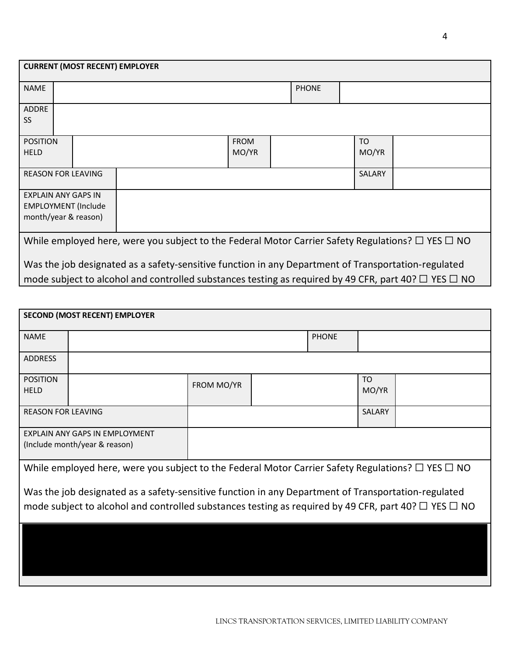| <b>CURRENT (MOST RECENT) EMPLOYER</b>                                                                          |                            |  |             |  |              |               |  |
|----------------------------------------------------------------------------------------------------------------|----------------------------|--|-------------|--|--------------|---------------|--|
| <b>NAME</b>                                                                                                    |                            |  |             |  | <b>PHONE</b> |               |  |
| <b>ADDRE</b>                                                                                                   |                            |  |             |  |              |               |  |
| <b>SS</b>                                                                                                      |                            |  |             |  |              |               |  |
| <b>POSITION</b>                                                                                                |                            |  | <b>FROM</b> |  |              | TO            |  |
| <b>HELD</b>                                                                                                    |                            |  | MO/YR       |  |              | MO/YR         |  |
| <b>REASON FOR LEAVING</b>                                                                                      |                            |  |             |  |              | <b>SALARY</b> |  |
| <b>EXPLAIN ANY GAPS IN</b>                                                                                     |                            |  |             |  |              |               |  |
|                                                                                                                | <b>EMPLOYMENT (Include</b> |  |             |  |              |               |  |
| month/year & reason)                                                                                           |                            |  |             |  |              |               |  |
| While employed here, were you subject to the Federal Motor Carrier Safety Regulations? $\Box$ YES $\Box$ NO    |                            |  |             |  |              |               |  |
| Was the job designated as a safety-sensitive function in any Department of Transportation-regulated            |                            |  |             |  |              |               |  |
| mode subject to alcohol and controlled substances testing as required by 49 CFR, part 40? $\Box$ YES $\Box$ NO |                            |  |             |  |              |               |  |

| <b>SECOND (MOST RECENT) EMPLOYER</b>                                                                        |                                                                 |            |  |              |             |  |  |
|-------------------------------------------------------------------------------------------------------------|-----------------------------------------------------------------|------------|--|--------------|-------------|--|--|
| <b>NAME</b>                                                                                                 |                                                                 |            |  | <b>PHONE</b> |             |  |  |
| <b>ADDRESS</b>                                                                                              |                                                                 |            |  |              |             |  |  |
| <b>POSITION</b><br><b>HELD</b>                                                                              |                                                                 | FROM MO/YR |  |              | TO<br>MO/YR |  |  |
| <b>REASON FOR LEAVING</b>                                                                                   |                                                                 |            |  |              | SALARY      |  |  |
|                                                                                                             | EXPLAIN ANY GAPS IN EMPLOYMENT<br>(Include month/year & reason) |            |  |              |             |  |  |
| While employed here, were you subject to the Federal Motor Carrier Safety Regulations? $\Box$ YES $\Box$ NO |                                                                 |            |  |              |             |  |  |

Was the job designated as a safety-sensitive function in any Department of Transportation-regulated mode subject to alcohol and controlled substances testing as required by 49 CFR, part 40?  $\Box$  YES  $\Box$  NO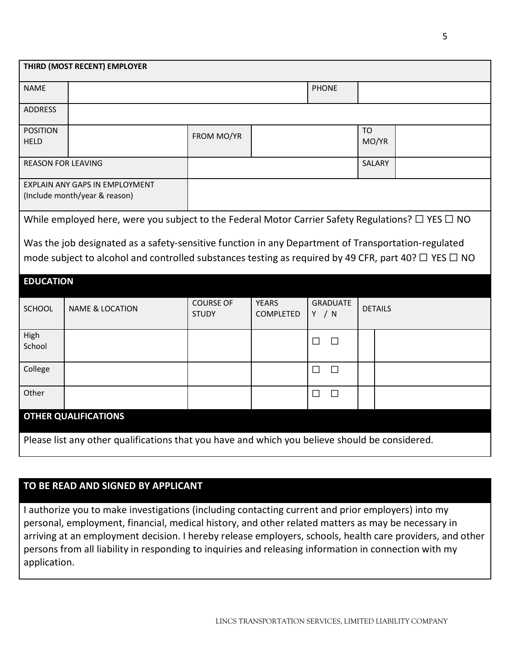| THIRD (MOST RECENT) EMPLOYER   |                                                                                                                                                                                                                       |                                  |                           |                          |                    |  |  |
|--------------------------------|-----------------------------------------------------------------------------------------------------------------------------------------------------------------------------------------------------------------------|----------------------------------|---------------------------|--------------------------|--------------------|--|--|
| <b>NAME</b>                    |                                                                                                                                                                                                                       |                                  |                           | <b>PHONE</b>             |                    |  |  |
| <b>ADDRESS</b>                 |                                                                                                                                                                                                                       |                                  |                           |                          |                    |  |  |
| <b>POSITION</b><br><b>HELD</b> |                                                                                                                                                                                                                       | FROM MO/YR                       |                           |                          | <b>TO</b><br>MO/YR |  |  |
| <b>REASON FOR LEAVING</b>      |                                                                                                                                                                                                                       |                                  |                           |                          | SALARY             |  |  |
|                                | EXPLAIN ANY GAPS IN EMPLOYMENT<br>(Include month/year & reason)                                                                                                                                                       |                                  |                           |                          |                    |  |  |
|                                | While employed here, were you subject to the Federal Motor Carrier Safety Regulations? $\Box$ YES $\Box$ NO                                                                                                           |                                  |                           |                          |                    |  |  |
|                                | Was the job designated as a safety-sensitive function in any Department of Transportation-regulated<br>mode subject to alcohol and controlled substances testing as required by 49 CFR, part 40? $\Box$ YES $\Box$ NO |                                  |                           |                          |                    |  |  |
| <b>EDUCATION</b>               |                                                                                                                                                                                                                       |                                  |                           |                          |                    |  |  |
| SCHOOL                         | <b>NAME &amp; LOCATION</b>                                                                                                                                                                                            | <b>COURSE OF</b><br><b>STUDY</b> | <b>YEARS</b><br>COMPLETED | <b>GRADUATE</b><br>Y / N | <b>DETAILS</b>     |  |  |
| High<br>School                 |                                                                                                                                                                                                                       |                                  |                           | $\Box$<br>$\Box$         |                    |  |  |
| College                        |                                                                                                                                                                                                                       |                                  |                           | $\Box$<br>$\Box$         |                    |  |  |
| Other                          |                                                                                                                                                                                                                       |                                  |                           | $\Box$<br>$\Box$         |                    |  |  |
| <b>OTHER QUALIFICATIONS</b>    |                                                                                                                                                                                                                       |                                  |                           |                          |                    |  |  |
|                                | Please list any other qualifications that you have and which you believe should be considered.                                                                                                                        |                                  |                           |                          |                    |  |  |

## **TO BE READ AND SIGNED BY APPLICANT**

I authorize you to make investigations (including contacting current and prior employers) into my personal, employment, financial, medical history, and other related matters as may be necessary in arriving at an employment decision. I hereby release employers, schools, health care providers, and other persons from all liability in responding to inquiries and releasing information in connection with my application.